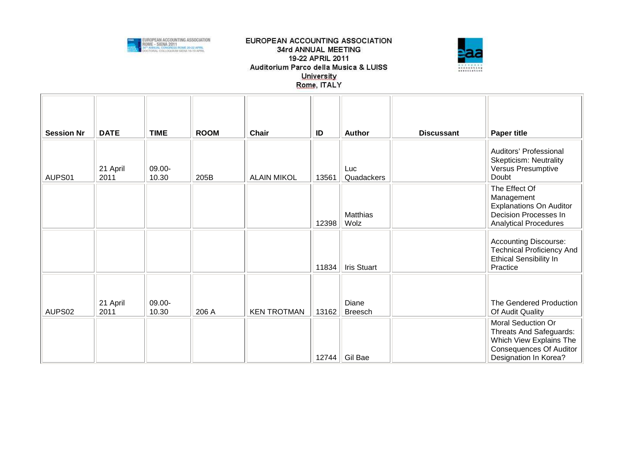



| <b>Session Nr</b> | <b>DATE</b>      | <b>TIME</b>     | <b>ROOM</b> | <b>Chair</b>       | ID    | <b>Author</b>             | <b>Discussant</b> | <b>Paper title</b>                                                                                                                  |
|-------------------|------------------|-----------------|-------------|--------------------|-------|---------------------------|-------------------|-------------------------------------------------------------------------------------------------------------------------------------|
| AUPS01            | 21 April<br>2011 | 09.00-<br>10.30 | 205B        | <b>ALAIN MIKOL</b> | 13561 | Luc<br>Quadackers         |                   | Auditors' Professional<br><b>Skepticism: Neutrality</b><br>Versus Presumptive<br>Doubt                                              |
|                   |                  |                 |             |                    | 12398 | <b>Matthias</b><br>Wolz   |                   | The Effect Of<br>Management<br><b>Explanations On Auditor</b><br>Decision Processes In<br><b>Analytical Procedures</b>              |
|                   |                  |                 |             |                    | 11834 | Iris Stuart               |                   | <b>Accounting Discourse:</b><br><b>Technical Proficiency And</b><br><b>Ethical Sensibility In</b><br>Practice                       |
| AUPS02            | 21 April<br>2011 | 09.00-<br>10.30 | 206 A       | <b>KEN TROTMAN</b> | 13162 | Diane<br>Breesch          |                   | The Gendered Production<br>Of Audit Quality                                                                                         |
|                   |                  |                 |             |                    |       | 12744 $\parallel$ Gil Bae |                   | Moral Seduction Or<br>Threats And Safeguards:<br>Which View Explains The<br><b>Consequences Of Auditor</b><br>Designation In Korea? |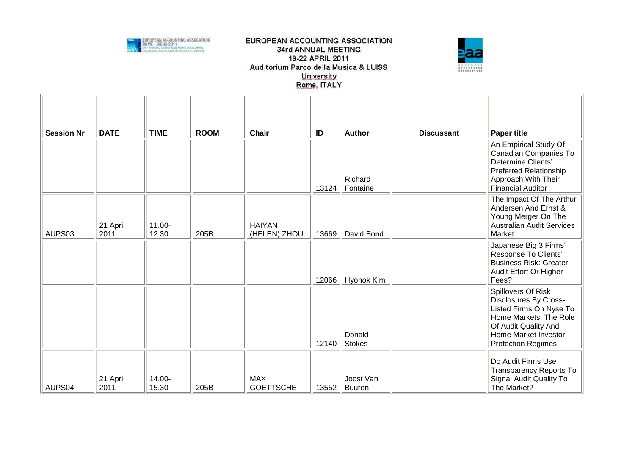



| <b>Session Nr</b>  | <b>DATE</b>      | <b>TIME</b>        | <b>ROOM</b> | <b>Chair</b>                   | ID    | <b>Author</b>              | <b>Discussant</b> | <b>Paper title</b>                                                                                                                                                            |
|--------------------|------------------|--------------------|-------------|--------------------------------|-------|----------------------------|-------------------|-------------------------------------------------------------------------------------------------------------------------------------------------------------------------------|
|                    |                  |                    |             |                                | 13124 | Richard<br>Fontaine        |                   | An Empirical Study Of<br>Canadian Companies To<br>Determine Clients'<br>Preferred Relationship<br>Approach With Their<br><b>Financial Auditor</b>                             |
| AUPS03             | 21 April<br>2011 | $11.00 -$<br>12.30 | 205B        | <b>HAIYAN</b><br>(HELEN) ZHOU  | 13669 | David Bond                 |                   | The Impact Of The Arthur<br>Andersen And Ernst &<br>Young Merger On The<br><b>Australian Audit Services</b><br>Market                                                         |
|                    |                  |                    |             |                                | 12066 | Hyonok Kim                 |                   | Japanese Big 3 Firms'<br>Response To Clients'<br><b>Business Risk: Greater</b><br>Audit Effort Or Higher<br>Fees?                                                             |
|                    |                  |                    |             |                                | 12140 | Donald<br><b>Stokes</b>    |                   | Spillovers Of Risk<br>Disclosures By Cross-<br>Listed Firms On Nyse To<br>Home Markets: The Role<br>Of Audit Quality And<br>Home Market Investor<br><b>Protection Regimes</b> |
| AUPS <sub>04</sub> | 21 April<br>2011 | 14.00-<br>15.30    | 205B        | <b>MAX</b><br><b>GOETTSCHE</b> | 13552 | Joost Van<br><b>Buuren</b> |                   | Do Audit Firms Use<br><b>Transparency Reports To</b><br>Signal Audit Quality To<br>The Market?                                                                                |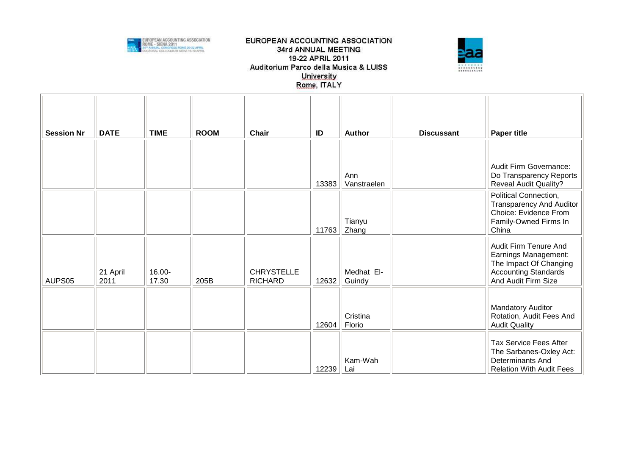



| <b>Session Nr</b> | <b>DATE</b>      | <b>TIME</b>     | <b>ROOM</b> | <b>Chair</b>                        | ID    | <b>Author</b>        | <b>Discussant</b> | <b>Paper title</b>                                                                                                            |
|-------------------|------------------|-----------------|-------------|-------------------------------------|-------|----------------------|-------------------|-------------------------------------------------------------------------------------------------------------------------------|
|                   |                  |                 |             |                                     |       |                      |                   |                                                                                                                               |
|                   |                  |                 |             |                                     | 13383 | Ann<br>Vanstraelen   |                   | Audit Firm Governance:<br>Do Transparency Reports<br><b>Reveal Audit Quality?</b>                                             |
|                   |                  |                 |             |                                     | 11763 | Tianyu<br>Zhang      |                   | Political Connection,<br><b>Transparency And Auditor</b><br>Choice: Evidence From<br>Family-Owned Firms In<br>China           |
| AUPS05            | 21 April<br>2011 | 16.00-<br>17.30 | 205B        | <b>CHRYSTELLE</b><br><b>RICHARD</b> | 12632 | Medhat El-<br>Guindy |                   | Audit Firm Tenure And<br>Earnings Management:<br>The Impact Of Changing<br><b>Accounting Standards</b><br>And Audit Firm Size |
|                   |                  |                 |             |                                     | 12604 | Cristina<br>Florio   |                   | Mandatory Auditor<br>Rotation, Audit Fees And<br><b>Audit Quality</b>                                                         |
|                   |                  |                 |             |                                     | 12239 | Kam-Wah<br>Lai       |                   | <b>Tax Service Fees After</b><br>The Sarbanes-Oxley Act:<br>Determinants And<br><b>Relation With Audit Fees</b>               |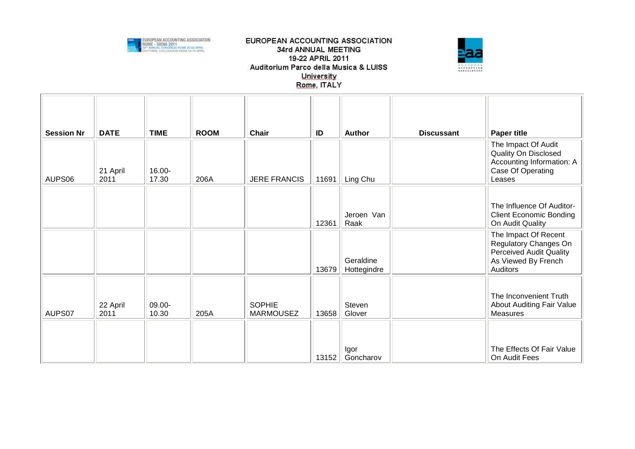



| <b>Session Nr</b> | <b>DATE</b>      | <b>TIME</b>     | <b>ROOM</b> | <b>Chair</b>                      | ID    | <b>Author</b>            | <b>Discussant</b> | <b>Paper title</b>                                                                                                 |
|-------------------|------------------|-----------------|-------------|-----------------------------------|-------|--------------------------|-------------------|--------------------------------------------------------------------------------------------------------------------|
| AUPS06            | 21 April<br>2011 | 16.00-<br>17.30 | 206A        | <b>JERE FRANCIS</b>               | 11691 | Ling Chu                 |                   | The Impact Of Audit<br>Quality On Disclosed<br>Accounting Information: A<br>Case Of Operating<br>Leases            |
|                   |                  |                 |             |                                   | 12361 | Jeroen Van<br>Raak       |                   | The Influence Of Auditor-<br><b>Client Economic Bonding</b><br>On Audit Quality                                    |
|                   |                  |                 |             |                                   | 13679 | Geraldine<br>Hottegindre |                   | The Impact Of Recent<br>Regulatory Changes On<br><b>Perceived Audit Quality</b><br>As Viewed By French<br>Auditors |
| AUPS07            | 22 April<br>2011 | 09.00-<br>10.30 | 205A        | <b>SOPHIE</b><br><b>MARMOUSEZ</b> | 13658 | Steven<br>Glover         |                   | The Inconvenient Truth<br><b>About Auditing Fair Value</b><br><b>Measures</b>                                      |
|                   |                  |                 |             |                                   | 13152 | Igor<br>Goncharov        |                   | The Effects Of Fair Value<br>On Audit Fees                                                                         |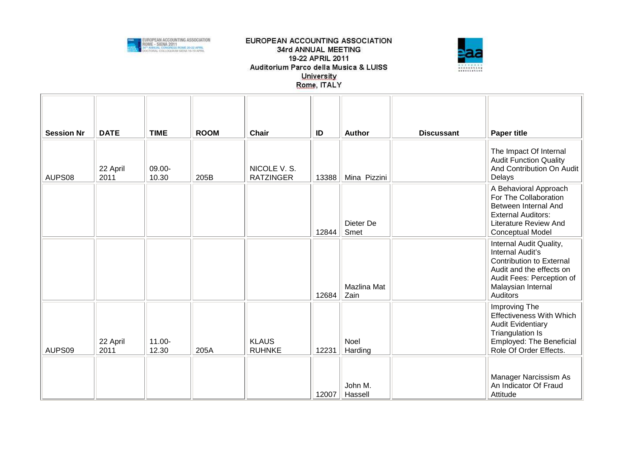



| <b>Session Nr</b> | <b>DATE</b>      | <b>TIME</b>     | <b>ROOM</b> | <b>Chair</b>                     | ID    | <b>Author</b>       | <b>Discussant</b> | <b>Paper title</b>                                                                                                                                                        |
|-------------------|------------------|-----------------|-------------|----------------------------------|-------|---------------------|-------------------|---------------------------------------------------------------------------------------------------------------------------------------------------------------------------|
| AUPS08            | 22 April<br>2011 | 09.00-<br>10.30 | 205B        | NICOLE V. S.<br><b>RATZINGER</b> | 13388 | Mina Pizzini        |                   | The Impact Of Internal<br><b>Audit Function Quality</b><br>And Contribution On Audit<br>Delays                                                                            |
|                   |                  |                 |             |                                  | 12844 | Dieter De<br>Smet   |                   | A Behavioral Approach<br>For The Collaboration<br>Between Internal And<br><b>External Auditors:</b><br><b>Literature Review And</b><br><b>Conceptual Model</b>            |
|                   |                  |                 |             |                                  | 12684 | Mazlina Mat<br>Zain |                   | Internal Audit Quality,<br>Internal Audit's<br><b>Contribution to External</b><br>Audit and the effects on<br>Audit Fees: Perception of<br>Malaysian Internal<br>Auditors |
| AUPS09            | 22 April<br>2011 | 11.00-<br>12.30 | 205A        | <b>KLAUS</b><br><b>RUHNKE</b>    | 12231 | Noel<br>Harding     |                   | Improving The<br><b>Effectiveness With Which</b><br><b>Audit Evidentiary</b><br><b>Triangulation Is</b><br>Employed: The Beneficial<br>Role Of Order Effects.             |
|                   |                  |                 |             |                                  | 12007 | John M.<br>Hassell  |                   | Manager Narcissism As<br>An Indicator Of Fraud<br>Attitude                                                                                                                |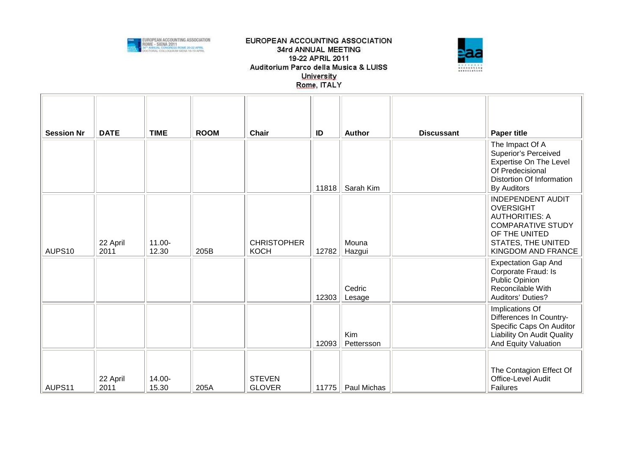



| <b>Session Nr</b>  | <b>DATE</b>      | <b>TIME</b>        | <b>ROOM</b> | <b>Chair</b>                      | ID    | <b>Author</b>                 | <b>Discussant</b> | <b>Paper title</b>                                        |
|--------------------|------------------|--------------------|-------------|-----------------------------------|-------|-------------------------------|-------------------|-----------------------------------------------------------|
|                    |                  |                    |             |                                   |       |                               |                   | The Impact Of A<br><b>Superior's Perceived</b>            |
|                    |                  |                    |             |                                   |       |                               |                   | <b>Expertise On The Level</b><br>Of Predecisional         |
|                    |                  |                    |             |                                   |       |                               |                   | Distortion Of Information                                 |
|                    |                  |                    |             |                                   | 11818 | Sarah Kim                     |                   | <b>By Auditors</b>                                        |
|                    |                  |                    |             |                                   |       |                               |                   | <b>INDEPENDENT AUDIT</b><br><b>OVERSIGHT</b>              |
|                    |                  |                    |             |                                   |       |                               |                   | <b>AUTHORITIES: A</b><br><b>COMPARATIVE STUDY</b>         |
|                    |                  |                    |             |                                   |       |                               |                   | OF THE UNITED                                             |
| AUPS10             | 22 April<br>2011 | $11.00 -$<br>12.30 | 205B        | <b>CHRISTOPHER</b><br><b>KOCH</b> | 12782 | Mouna<br>Hazgui               |                   | STATES, THE UNITED<br>KINGDOM AND FRANCE                  |
|                    |                  |                    |             |                                   |       |                               |                   | <b>Expectation Gap And</b>                                |
|                    |                  |                    |             |                                   |       |                               |                   | Corporate Fraud: Is<br>Public Opinion                     |
|                    |                  |                    |             |                                   |       | Cedric                        |                   | Reconcilable With                                         |
|                    |                  |                    |             |                                   | 12303 | Lesage                        |                   | Auditors' Duties?                                         |
|                    |                  |                    |             |                                   |       |                               |                   | Implications Of<br>Differences In Country-                |
|                    |                  |                    |             |                                   |       |                               |                   | Specific Caps On Auditor                                  |
|                    |                  |                    |             |                                   | 12093 | Kim<br>Pettersson             |                   | Liability On Audit Quality<br><b>And Equity Valuation</b> |
|                    |                  |                    |             |                                   |       |                               |                   |                                                           |
|                    |                  |                    |             |                                   |       |                               |                   | The Contagion Effect Of                                   |
| AUPS <sub>11</sub> | 22 April<br>2011 | 14.00-<br>15.30    | 205A        | <b>STEVEN</b><br><b>GLOVER</b>    |       | 11775 $\parallel$ Paul Michas |                   | Office-Level Audit<br><b>Failures</b>                     |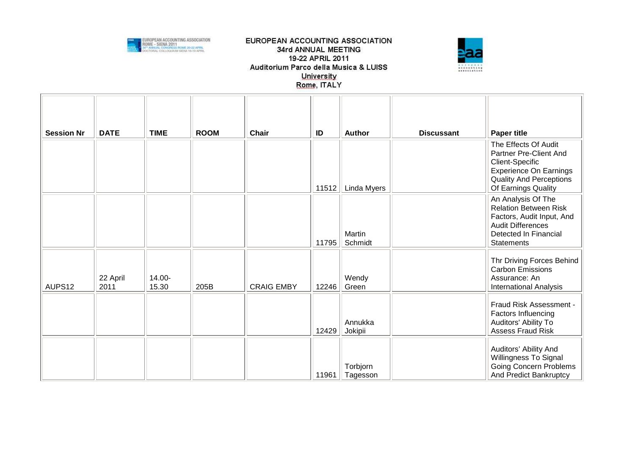



| <b>Session Nr</b> | <b>DATE</b>      | <b>TIME</b>     | <b>ROOM</b> | Chair             | ID    | <b>Author</b>        | <b>Discussant</b> | <b>Paper title</b>                                                                                                                                        |
|-------------------|------------------|-----------------|-------------|-------------------|-------|----------------------|-------------------|-----------------------------------------------------------------------------------------------------------------------------------------------------------|
|                   |                  |                 |             |                   |       |                      |                   | The Effects Of Audit<br>Partner Pre-Client And<br>Client-Specific<br><b>Experience On Earnings</b><br><b>Quality And Perceptions</b>                      |
|                   |                  |                 |             |                   | 11512 | Linda Myers          |                   | Of Earnings Quality                                                                                                                                       |
|                   |                  |                 |             |                   | 11795 | Martin<br>Schmidt    |                   | An Analysis Of The<br><b>Relation Between Risk</b><br>Factors, Audit Input, And<br><b>Audit Differences</b><br>Detected In Financial<br><b>Statements</b> |
| AUPS12            | 22 April<br>2011 | 14.00-<br>15.30 | 205B        | <b>CRAIG EMBY</b> | 12246 | Wendy<br>Green       |                   | Thr Driving Forces Behind<br><b>Carbon Emissions</b><br>Assurance: An<br><b>International Analysis</b>                                                    |
|                   |                  |                 |             |                   | 12429 | Annukka<br>Jokipii   |                   | Fraud Risk Assessment -<br>Factors Influencing<br>Auditors' Ability To<br><b>Assess Fraud Risk</b>                                                        |
|                   |                  |                 |             |                   | 11961 | Torbjorn<br>Tagesson |                   | Auditors' Ability And<br>Willingness To Signal<br><b>Going Concern Problems</b><br>And Predict Bankruptcy                                                 |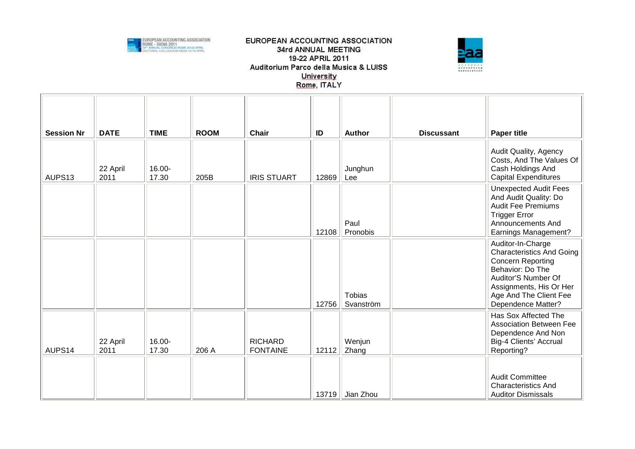



| <b>Session Nr</b> | <b>DATE</b>      | <b>TIME</b>     | <b>ROOM</b> | <b>Chair</b>                      | ID    | <b>Author</b>               | <b>Discussant</b> | <b>Paper title</b>                                                                                                                                                                                             |
|-------------------|------------------|-----------------|-------------|-----------------------------------|-------|-----------------------------|-------------------|----------------------------------------------------------------------------------------------------------------------------------------------------------------------------------------------------------------|
| AUPS13            | 22 April<br>2011 | 16.00-<br>17.30 | 205B        | <b>IRIS STUART</b>                | 12869 | Junghun<br>Lee              |                   | Audit Quality, Agency<br>Costs, And The Values Of<br>Cash Holdings And<br><b>Capital Expenditures</b>                                                                                                          |
|                   |                  |                 |             |                                   | 12108 | Paul<br>Pronobis            |                   | <b>Unexpected Audit Fees</b><br>And Audit Quality: Do<br><b>Audit Fee Premiums</b><br><b>Trigger Error</b><br>Announcements And<br><b>Earnings Management?</b>                                                 |
|                   |                  |                 |             |                                   | 12756 | <b>Tobias</b><br>Svanström  |                   | Auditor-In-Charge<br><b>Characteristics And Going</b><br><b>Concern Reporting</b><br>Behavior: Do The<br>Auditor'S Number Of<br>Assignments, His Or Her<br>Age And The Client Fee<br><b>Dependence Matter?</b> |
| AUPS14            | 22 April<br>2011 | 16.00-<br>17.30 | 206 A       | <b>RICHARD</b><br><b>FONTAINE</b> | 12112 | Wenjun<br>Zhang             |                   | Has Sox Affected The<br><b>Association Between Fee</b><br>Dependence And Non<br>Big-4 Clients' Accrual<br>Reporting?                                                                                           |
|                   |                  |                 |             |                                   |       | 13719 $\parallel$ Jian Zhou |                   | <b>Audit Committee</b><br><b>Characteristics And</b><br><b>Auditor Dismissals</b>                                                                                                                              |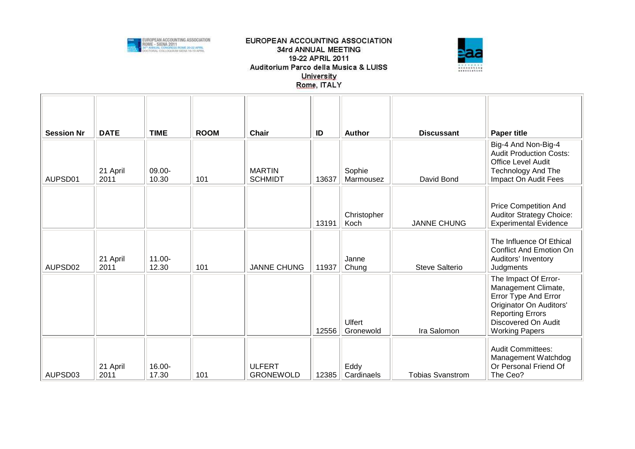



| <b>Session Nr</b> | <b>DATE</b>      | <b>TIME</b>        | <b>ROOM</b> | <b>Chair</b>                      | ID    | <b>Author</b>              | <b>Discussant</b>       | <b>Paper title</b>                                                                                                                                                        |
|-------------------|------------------|--------------------|-------------|-----------------------------------|-------|----------------------------|-------------------------|---------------------------------------------------------------------------------------------------------------------------------------------------------------------------|
| AUPSD01           | 21 April<br>2011 | 09.00-<br>10.30    | 101         | <b>MARTIN</b><br><b>SCHMIDT</b>   | 13637 | Sophie<br>Marmousez        | David Bond              | Big-4 And Non-Big-4<br><b>Audit Production Costs:</b><br><b>Office Level Audit</b><br><b>Technology And The</b><br>Impact On Audit Fees                                   |
|                   |                  |                    |             |                                   | 13191 | Christopher<br>Koch        | <b>JANNE CHUNG</b>      | <b>Price Competition And</b><br><b>Auditor Strategy Choice:</b><br><b>Experimental Evidence</b>                                                                           |
| AUPSD02           | 21 April<br>2011 | $11.00 -$<br>12.30 | 101         | <b>JANNE CHUNG</b>                | 11937 | Janne<br>Chung             | <b>Steve Salterio</b>   | The Influence Of Ethical<br><b>Conflict And Emotion On</b><br>Auditors' Inventory<br>Judgments                                                                            |
|                   |                  |                    |             |                                   | 12556 | <b>Ulfert</b><br>Gronewold | Ira Salomon             | The Impact Of Error-<br>Management Climate,<br>Error Type And Error<br>Originator On Auditors'<br><b>Reporting Errors</b><br>Discovered On Audit<br><b>Working Papers</b> |
| AUPSD03           | 21 April<br>2011 | 16.00-<br>17.30    | 101         | <b>ULFERT</b><br><b>GRONEWOLD</b> | 12385 | Eddy<br>Cardinaels         | <b>Tobias Svanstrom</b> | <b>Audit Committees:</b><br>Management Watchdog<br>Or Personal Friend Of<br>The Ceo?                                                                                      |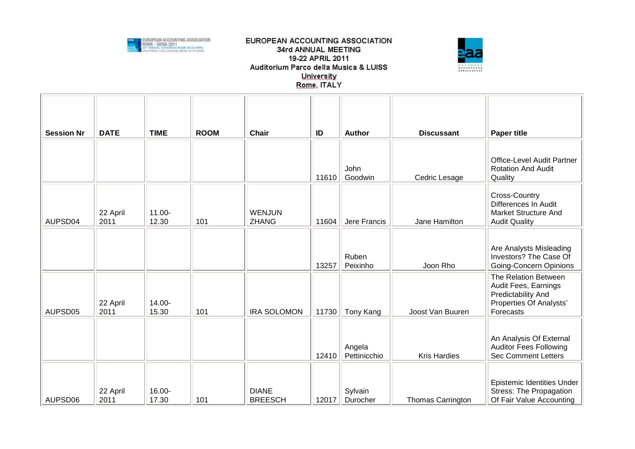



| <b>Session Nr</b> | <b>DATE</b>      | <b>TIME</b>        | <b>ROOM</b> | <b>Chair</b>                   | ID    | Author                 | <b>Discussant</b>        | <b>Paper title</b>                                                                                         |
|-------------------|------------------|--------------------|-------------|--------------------------------|-------|------------------------|--------------------------|------------------------------------------------------------------------------------------------------------|
|                   |                  |                    |             |                                | 11610 | John<br>Goodwin        | Cedric Lesage            | Office-Level Audit Partner<br><b>Rotation And Audit</b><br>Quality                                         |
| AUPSD04           | 22 April<br>2011 | $11.00 -$<br>12.30 | 101         | <b>WENJUN</b><br><b>ZHANG</b>  | 11604 | Jere Francis           | Jane Hamilton            | Cross-Country<br>Differences In Audit<br><b>Market Structure And</b><br><b>Audit Quality</b>               |
|                   |                  |                    |             |                                | 13257 | Ruben<br>Peixinho      | Joon Rho                 | Are Analysts Misleading<br>Investors? The Case Of<br>Going-Concern Opinions                                |
| AUPSD05           | 22 April<br>2011 | 14.00-<br>15.30    | 101         | <b>IRA SOLOMON</b>             | 11730 | Tony Kang              | Joost Van Buuren         | The Relation Between<br>Audit Fees, Earnings<br>Predictability And<br>Properties Of Analysts'<br>Forecasts |
|                   |                  |                    |             |                                | 12410 | Angela<br>Pettinicchio | <b>Kris Hardies</b>      | An Analysis Of External<br><b>Auditor Fees Following</b><br><b>Sec Comment Letters</b>                     |
| AUPSD06           | 22 April<br>2011 | 16.00-<br>17.30    | 101         | <b>DIANE</b><br><b>BREESCH</b> | 12017 | Sylvain<br>Durocher    | <b>Thomas Carrington</b> | Epistemic Identities Under<br><b>Stress: The Propagation</b><br>Of Fair Value Accounting                   |